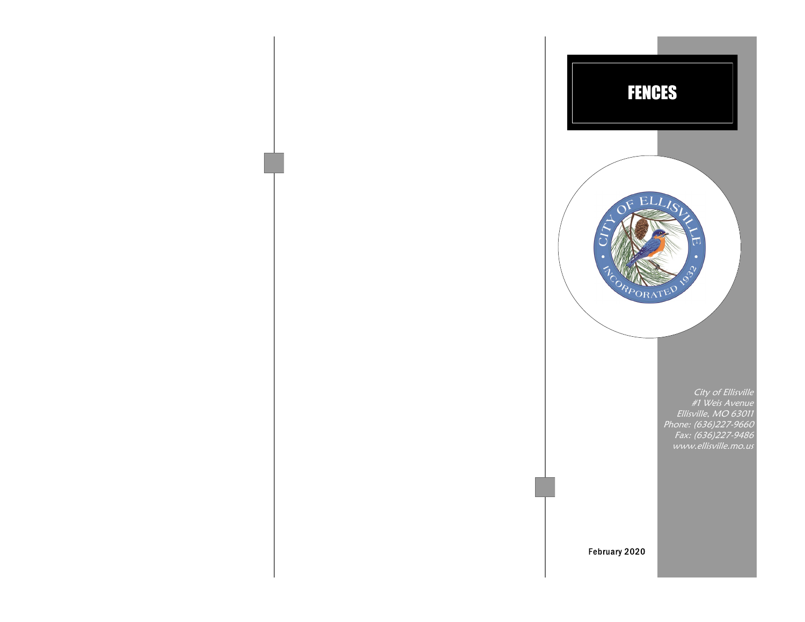